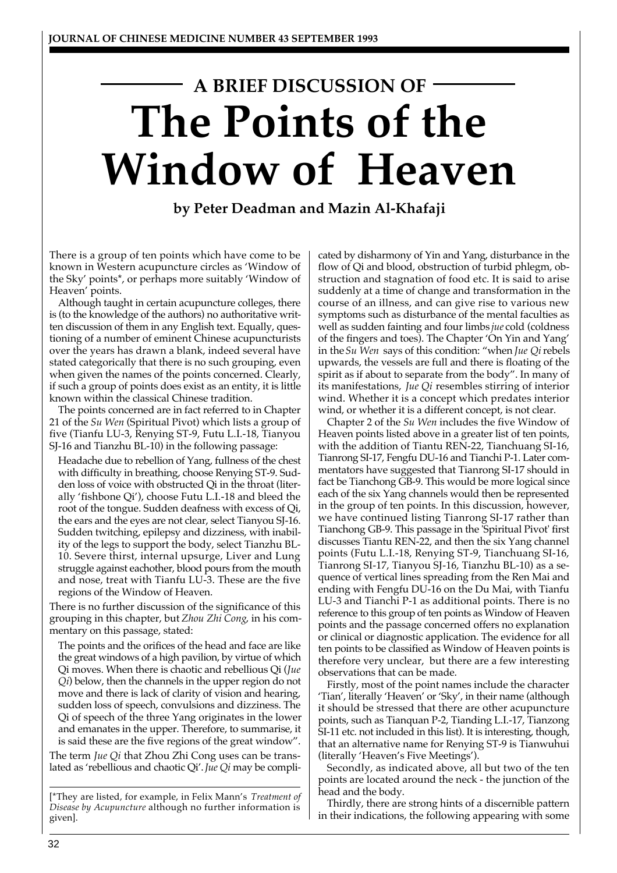# **A BRIEF DISCUSSION OF The Points of the Window of Heaven**

**by Peter Deadman and Mazin Al-Khafaji**

There is a group of ten points which have come to be known in Western acupuncture circles as 'Window of the Sky' points\*, or perhaps more suitably 'Window of Heaven' points.

Although taught in certain acupuncture colleges, there is (to the knowledge of the authors) no authoritative written discussion of them in any English text. Equally, questioning of a number of eminent Chinese acupuncturists over the years has drawn a blank, indeed several have stated categorically that there is no such grouping, even when given the names of the points concerned. Clearly, if such a group of points does exist as an entity, it is little known within the classical Chinese tradition.

The points concerned are in fact referred to in Chapter 21 of the *Su Wen* (Spiritual Pivot) which lists a group of five (Tianfu LU-3, Renying ST-9, Futu L.I.-18, Tianyou SJ-16 and Tianzhu BL-10) in the following passage:

Headache due to rebellion of Yang, fullness of the chest with difficulty in breathing, choose Renying ST-9. Sudden loss of voice with obstructed Qi in the throat (literally 'fishbone Qi'), choose Futu L.I.-18 and bleed the root of the tongue. Sudden deafness with excess of Qi, the ears and the eyes are not clear, select Tianyou SJ-16. Sudden twitching, epilepsy and dizziness, with inability of the legs to support the body, select Tianzhu BL-10. Severe thirst, internal upsurge, Liver and Lung struggle against eachother, blood pours from the mouth and nose, treat with Tianfu LU-3. These are the five regions of the Window of Heaven.

There is no further discussion of the significance of this grouping in this chapter, but *Zhou Zhi Cong*, in his commentary on this passage, stated:

The points and the orifices of the head and face are like the great windows of a high pavilion, by virtue of which Qi moves. When there is chaotic and rebellious Qi (*Jue Qi*) below, then the channels in the upper region do not move and there is lack of clarity of vision and hearing, sudden loss of speech, convulsions and dizziness. The Qi of speech of the three Yang originates in the lower and emanates in the upper. Therefore, to summarise, it is said these are the five regions of the great window".

The term *Jue Qi* that Zhou Zhi Cong uses can be translated as 'rebellious and chaotic Qi'. *Jue Qi* may be compli-

[\*They are listed, for example, in Felix Mann's *Treatment of Disease by Acupuncture* although no further information is given].

cated by disharmony of Yin and Yang, disturbance in the flow of Qi and blood, obstruction of turbid phlegm, obstruction and stagnation of food etc. It is said to arise suddenly at a time of change and transformation in the course of an illness, and can give rise to various new symptoms such as disturbance of the mental faculties as well as sudden fainting and four limbs *jue* cold (coldness of the fingers and toes). The Chapter 'On Yin and Yang' in the *Su Wen* says of this condition: "when *Jue Qi* rebels upwards, the vessels are full and there is floating of the spirit as if about to separate from the body". In many of its manifestations, *Jue Qi* resembles stirring of interior wind. Whether it is a concept which predates interior wind, or whether it is a different concept, is not clear.

Chapter 2 of the *Su Wen* includes the five Window of Heaven points listed above in a greater list of ten points, with the addition of Tiantu REN-22, Tianchuang SI-16, Tianrong SI-17, Fengfu DU-16 and Tianchi P-1. Later commentators have suggested that Tianrong SI-17 should in fact be Tianchong GB-9. This would be more logical since each of the six Yang channels would then be represented in the group of ten points. In this discussion, however, we have continued listing Tianrong SI-17 rather than Tianchong GB-9. This passage in the 'Spiritual Pivot' first discusses Tiantu REN-22, and then the six Yang channel points (Futu L.I.-18, Renying ST-9, Tianchuang SI-16, Tianrong SI-17, Tianyou SJ-16, Tianzhu BL-10) as a sequence of vertical lines spreading from the Ren Mai and ending with Fengfu DU-16 on the Du Mai, with Tianfu LU-3 and Tianchi P-1 as additional points. There is no reference to this group of ten points as Window of Heaven points and the passage concerned offers no explanation or clinical or diagnostic application. The evidence for all ten points to be classified as Window of Heaven points is therefore very unclear, but there are a few interesting observations that can be made.

Firstly, most of the point names include the character 'Tian', literally 'Heaven' or 'Sky', in their name (although it should be stressed that there are other acupuncture points, such as Tianquan P-2, Tianding L.I.-17, Tianzong SI-11 etc. not included in this list). It is interesting, though, that an alternative name for Renying ST-9 is Tianwuhui (literally 'Heaven's Five Meetings').

Secondly, as indicated above, all but two of the ten points are located around the neck - the junction of the head and the body.

Thirdly, there are strong hints of a discernible pattern in their indications, the following appearing with some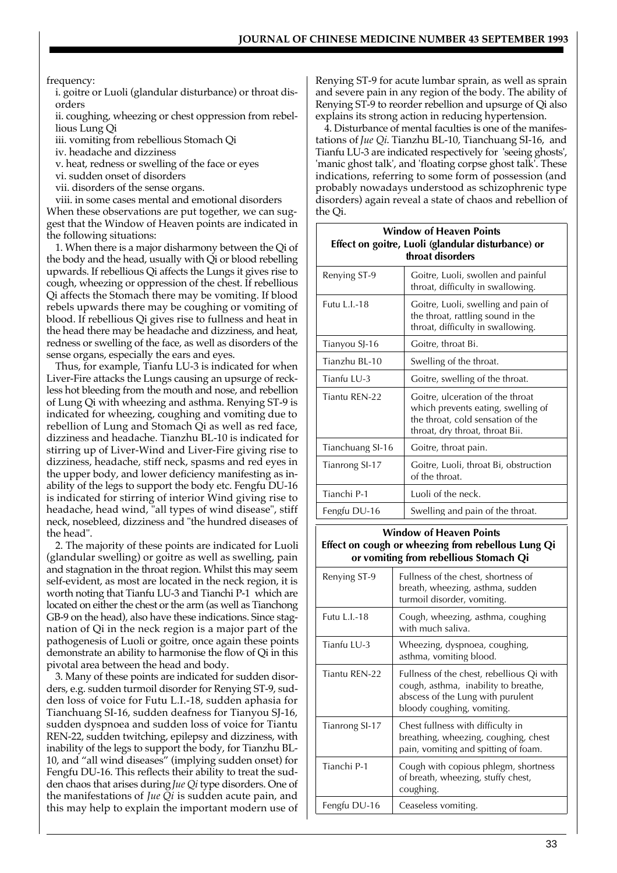#### frequency:

i. goitre or Luoli (glandular disturbance) or throat disorders

ii. coughing, wheezing or chest oppression from rebellious Lung Qi

iii. vomiting from rebellious Stomach Qi

iv. headache and dizziness

v. heat, redness or swelling of the face or eyes

vi. sudden onset of disorders

vii. disorders of the sense organs.

viii. in some cases mental and emotional disorders

When these observations are put together, we can suggest that the Window of Heaven points are indicated in the following situations:

1. When there is a major disharmony between the Qi of the body and the head, usually with Qi or blood rebelling upwards. If rebellious Qi affects the Lungs it gives rise to cough, wheezing or oppression of the chest. If rebellious Qi affects the Stomach there may be vomiting. If blood rebels upwards there may be coughing or vomiting of blood. If rebellious Qi gives rise to fullness and heat in the head there may be headache and dizziness, and heat, redness or swelling of the face, as well as disorders of the sense organs, especially the ears and eyes.

Thus, for example, Tianfu LU-3 is indicated for when Liver-Fire attacks the Lungs causing an upsurge of reckless hot bleeding from the mouth and nose, and rebellion of Lung Qi with wheezing and asthma. Renying ST-9 is indicated for wheezing, coughing and vomiting due to rebellion of Lung and Stomach Qi as well as red face, dizziness and headache. Tianzhu BL-10 is indicated for stirring up of Liver-Wind and Liver-Fire giving rise to dizziness, headache, stiff neck, spasms and red eyes in the upper body, and lower deficiency manifesting as inability of the legs to support the body etc. Fengfu DU-16 is indicated for stirring of interior Wind giving rise to headache, head wind, "all types of wind disease", stiff neck, nosebleed, dizziness and "the hundred diseases of the head".

2. The majority of these points are indicated for Luoli (glandular swelling) or goitre as well as swelling, pain and stagnation in the throat region. Whilst this may seem self-evident, as most are located in the neck region, it is worth noting that Tianfu LU-3 and Tianchi P-1 which are located on either the chest or the arm (as well as Tianchong GB-9 on the head), also have these indications. Since stagnation of Qi in the neck region is a major part of the pathogenesis of Luoli or goitre, once again these points demonstrate an ability to harmonise the flow of Qi in this pivotal area between the head and body.

3. Many of these points are indicated for sudden disorders, e.g. sudden turmoil disorder for Renying ST-9, sudden loss of voice for Futu L.I.-18, sudden aphasia for Tianchuang SI-16, sudden deafness for Tianyou SJ-16, sudden dyspnoea and sudden loss of voice for Tiantu REN-22, sudden twitching, epilepsy and dizziness, with inability of the legs to support the body, for Tianzhu BL-10, and "all wind diseases" (implying sudden onset) for Fengfu DU-16. This reflects their ability to treat the sudden chaos that arises during *Jue Qi* type disorders. One of the manifestations of *Jue Qi* is sudden acute pain, and this may help to explain the important modern use of

Renying ST-9 for acute lumbar sprain, as well as sprain and severe pain in any region of the body. The ability of Renying ST-9 to reorder rebellion and upsurge of Qi also explains its strong action in reducing hypertension.

4. Disturbance of mental faculties is one of the manifestations of *Jue Qi*. Tianzhu BL-10, Tianchuang SI-16, and Tianfu LU-3 are indicated respectively for 'seeing ghosts', 'manic ghost talk', and 'floating corpse ghost talk'. These indications, referring to some form of possession (and probably nowadays understood as schizophrenic type disorders) again reveal a state of chaos and rebellion of the Qi.

| <b>Window of Heaven Points</b><br>Effect on goitre, Luoli (glandular disturbance) or<br>throat disorders |                                                                                                                                                |
|----------------------------------------------------------------------------------------------------------|------------------------------------------------------------------------------------------------------------------------------------------------|
| Renying ST-9                                                                                             | Goitre, Luoli, swollen and painful<br>throat, difficulty in swallowing.                                                                        |
| Futu L.I.-18                                                                                             | Goitre, Luoli, swelling and pain of<br>the throat, rattling sound in the<br>throat, difficulty in swallowing.                                  |
| Tianyou SJ-16                                                                                            | Goitre, throat Bi.                                                                                                                             |
| Tianzhu BL-10                                                                                            | Swelling of the throat.                                                                                                                        |
| Tianfu LU-3                                                                                              | Goitre, swelling of the throat.                                                                                                                |
| Tiantu REN-22                                                                                            | Goitre, ulceration of the throat<br>which prevents eating, swelling of<br>the throat, cold sensation of the<br>throat, dry throat, throat Bii. |
| Tianchuang SI-16                                                                                         | Goitre, throat pain.                                                                                                                           |
| Tianrong SI-17                                                                                           | Goitre, Luoli, throat Bi, obstruction<br>of the throat.                                                                                        |
| Tianchi P-1                                                                                              | Luoli of the neck.                                                                                                                             |
| Fengfu DU-16                                                                                             | Swelling and pain of the throat.                                                                                                               |
|                                                                                                          |                                                                                                                                                |

#### **Window of Heaven Points**<br>**Effect on cough or wheezing from rebellous Lung Qi Effect on cough or wheezing from rebellous Lung Qi**

| <b>CHIONO DEDITION</b> |                                                                                                                                                      |
|------------------------|------------------------------------------------------------------------------------------------------------------------------------------------------|
| Renying ST-9           | Fullness of the chest, shortness of<br>breath, wheezing, asthma, sudden<br>turmoil disorder, vomiting.                                               |
| Futu L.I.-18           | Cough, wheezing, asthma, coughing<br>with much saliva.                                                                                               |
| Tianfu LU-3            | Wheezing, dyspnoea, coughing,<br>asthma, vomiting blood.                                                                                             |
| Tiantu REN-22          | Fullness of the chest, rebellious Qi with<br>cough, asthma, inability to breathe,<br>abscess of the Lung with purulent<br>bloody coughing, vomiting. |
| Tianrong SI-17         | Chest fullness with difficulty in<br>breathing, wheezing, coughing, chest<br>pain, vomiting and spitting of foam.                                    |
| Tianchi P-1            | Cough with copious phlegm, shortness<br>of breath, wheezing, stuffy chest,<br>coughing.                                                              |
| Fengfu DU-16           | Ceaseless vomiting.                                                                                                                                  |